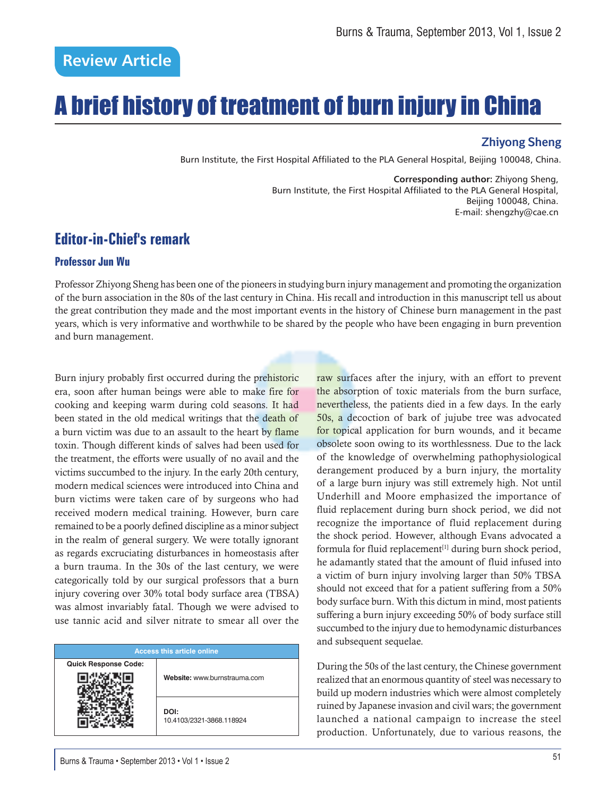# A brief history of treatment of burn injury in China

#### **Zhiyong Sheng**

Burn Institute, the First Hospital Affiliated to the PLA General Hospital, Beijing 100048, China.

**Corresponding author:** Zhiyong Sheng, Burn Institute, the First Hospital Affiliated to the PLA General Hospital, Beijing 100048, China. E-mail: shengzhy@cae.cn

## **Editor-in-Chief's remark**

#### **Professor Jun Wu**

Professor Zhiyong Sheng has been one of the pioneers in studying burn injury management and promoting the organization of the burn association in the 80s of the last century in China. His recall and introduction in this manuscript tell us about the great contribution they made and the most important events in the history of Chinese burn management in the past years, which is very informative and worthwhile to be shared by the people who have been engaging in burn prevention and burn management.

Burn injury probably first occurred during the prehistoric era, soon after human beings were able to make fire for cooking and keeping warm during cold seasons. It had been stated in the old medical writings that the death of a burn victim was due to an assault to the heart by flame toxin. Though different kinds of salves had been used for the treatment, the efforts were usually of no avail and the victims succumbed to the injury. In the early 20th century, modern medical sciences were introduced into China and burn victims were taken care of by surgeons who had received modern medical training. However, burn care remained to be a poorly defined discipline as a minor subject in the realm of general surgery. We were totally ignorant as regards excruciating disturbances in homeostasis after a burn trauma. In the 30s of the last century, we were categorically told by our surgical professors that a burn injury covering over 30% total body surface area (TBSA) was almost invariably fatal. Though we were advised to use tannic acid and silver nitrate to smear all over the

| <b>Access this article online</b> |                                  |
|-----------------------------------|----------------------------------|
| <b>Quick Response Code:</b>       | Website: www.burnstrauma.com     |
|                                   | DOI:<br>10.4103/2321-3868.118924 |

raw surfaces after the injury, with an effort to prevent the absorption of toxic materials from the burn surface, nevertheless, the patients died in a few days. In the early 50s, a decoction of bark of jujube tree was advocated for topical application for burn wounds, and it became obsolete soon owing to its worthlessness. Due to the lack of the knowledge of overwhelming pathophysiological derangement produced by a burn injury, the mortality of a large burn injury was still extremely high. Not until Underhill and Moore emphasized the importance of fluid replacement during burn shock period, we did not recognize the importance of fluid replacement during the shock period. However, although Evans advocated a formula for fluid replacement $[1]$  during burn shock period, he adamantly stated that the amount of fluid infused into a victim of burn injury involving larger than 50% TBSA should not exceed that for a patient suffering from a 50% body surface burn. With this dictum in mind, most patients suffering a burn injury exceeding 50% of body surface still succumbed to the injury due to hemodynamic disturbances and subsequent sequelae.

During the 50s of the last century, the Chinese government realized that an enormous quantity of steel was necessary to build up modern industries which were almost completely ruined by Japanese invasion and civil wars; the government launched a national campaign to increase the steel production. Unfortunately, due to various reasons, the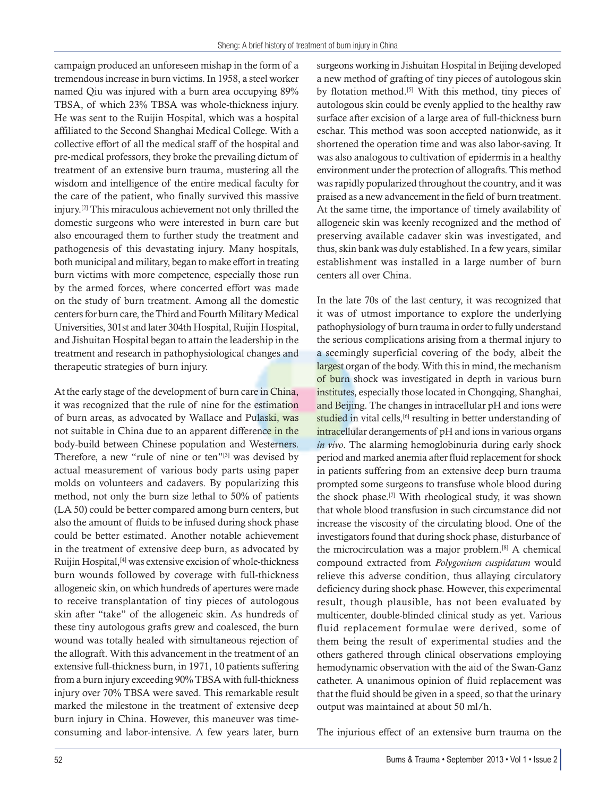campaign produced an unforeseen mishap in the form of a tremendous increase in burn victims. In 1958, a steel worker named Qiu was injured with a burn area occupying 89% TBSA, of which 23% TBSA was whole-thickness injury. He was sent to the Ruijin Hospital, which was a hospital affiliated to the Second Shanghai Medical College. With a collective effort of all the medical staff of the hospital and pre-medical professors, they broke the prevailing dictum of treatment of an extensive burn trauma, mustering all the wisdom and intelligence of the entire medical faculty for the care of the patient, who finally survived this massive injury.[2] This miraculous achievement not only thrilled the domestic surgeons who were interested in burn care but also encouraged them to further study the treatment and pathogenesis of this devastating injury. Many hospitals, both municipal and military, began to make effort in treating burn victims with more competence, especially those run by the armed forces, where concerted effort was made on the study of burn treatment. Among all the domestic centers for burn care, the Third and Fourth Military Medical Universities, 301st and later 304th Hospital, Ruijin Hospital, and Jishuitan Hospital began to attain the leadership in the treatment and research in pathophysiological changes and therapeutic strategies of burn injury.

At the early stage of the development of burn care in China, it was recognized that the rule of nine for the estimation of burn areas, as advocated by Wallace and Pulaski, was not suitable in China due to an apparent difference in the body-build between Chinese population and Westerners. Therefore, a new "rule of nine or ten"<sup>[3]</sup> was devised by actual measurement of various body parts using paper molds on volunteers and cadavers. By popularizing this method, not only the burn size lethal to 50% of patients (LA 50) could be better compared among burn centers, but also the amount of fluids to be infused during shock phase could be better estimated. Another notable achievement in the treatment of extensive deep burn, as advocated by Ruijin Hospital,[4] was extensive excision of whole-thickness burn wounds followed by coverage with full-thickness allogeneic skin, on which hundreds of apertures were made to receive transplantation of tiny pieces of autologous skin after "take" of the allogeneic skin. As hundreds of these tiny autologous grafts grew and coalesced, the burn wound was totally healed with simultaneous rejection of the allograft. With this advancement in the treatment of an extensive full-thickness burn, in 1971, 10 patients suffering from a burn injury exceeding 90% TBSA with full-thickness injury over 70% TBSA were saved. This remarkable result marked the milestone in the treatment of extensive deep burn injury in China. However, this maneuver was timeconsuming and labor-intensive. A few years later, burn

surgeons working in Jishuitan Hospital in Beijing developed a new method of grafting of tiny pieces of autologous skin by flotation method.<sup>[5]</sup> With this method, tiny pieces of autologous skin could be evenly applied to the healthy raw surface after excision of a large area of full-thickness burn eschar. This method was soon accepted nationwide, as it shortened the operation time and was also labor-saving. It was also analogous to cultivation of epidermis in a healthy environment under the protection of allografts. This method was rapidly popularized throughout the country, and it was praised as a new advancement in the field of burn treatment. At the same time, the importance of timely availability of allogeneic skin was keenly recognized and the method of preserving available cadaver skin was investigated, and thus, skin bank was duly established. In a few years, similar establishment was installed in a large number of burn centers all over China.

In the late 70s of the last century, it was recognized that it was of utmost importance to explore the underlying pathophysiology of burn trauma in order to fully understand the serious complications arising from a thermal injury to a seemingly superficial covering of the body, albeit the largest organ of the body. With this in mind, the mechanism of burn shock was investigated in depth in various burn institutes, especially those located in Chongqing, Shanghai, and Beijing. The changes in intracellular pH and ions were studied in vital cells,<sup>[6]</sup> resulting in better understanding of intracellular derangements of pH and ions in various organs *in vivo*. The alarming hemoglobinuria during early shock period and marked anemia after fluid replacement for shock in patients suffering from an extensive deep burn trauma prompted some surgeons to transfuse whole blood during the shock phase.[7] With rheological study, it was shown that whole blood transfusion in such circumstance did not increase the viscosity of the circulating blood. One of the investigators found that during shock phase, disturbance of the microcirculation was a major problem.[8] A chemical compound extracted from *Polygonium cuspidatum* would relieve this adverse condition, thus allaying circulatory deficiency during shock phase. However, this experimental result, though plausible, has not been evaluated by multicenter, double-blinded clinical study as yet. Various fluid replacement formulae were derived, some of them being the result of experimental studies and the others gathered through clinical observations employing hemodynamic observation with the aid of the Swan-Ganz catheter. A unanimous opinion of fluid replacement was that the fluid should be given in a speed, so that the urinary output was maintained at about 50 ml/h.

The injurious effect of an extensive burn trauma on the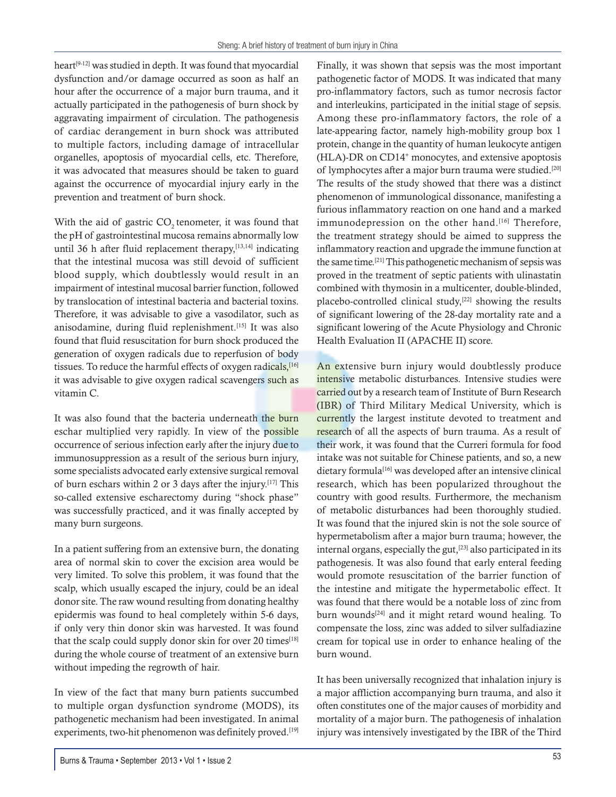heart<sup>[9-12]</sup> was studied in depth. It was found that myocardial dysfunction and/or damage occurred as soon as half an hour after the occurrence of a major burn trauma, and it actually participated in the pathogenesis of burn shock by aggravating impairment of circulation. The pathogenesis of cardiac derangement in burn shock was attributed to multiple factors, including damage of intracellular organelles, apoptosis of myocardial cells, etc. Therefore, it was advocated that measures should be taken to guard against the occurrence of myocardial injury early in the prevention and treatment of burn shock.

With the aid of gastric CO<sub>2</sub> tenometer, it was found that the pH of gastrointestinal mucosa remains abnormally low until 36 h after fluid replacement therapy, [13,14] indicating that the intestinal mucosa was still devoid of sufficient blood supply, which doubtlessly would result in an impairment of intestinal mucosal barrier function, followed by translocation of intestinal bacteria and bacterial toxins. Therefore, it was advisable to give a vasodilator, such as anisodamine, during fluid replenishment.<sup>[15]</sup> It was also found that fluid resuscitation for burn shock produced the generation of oxygen radicals due to reperfusion of body tissues. To reduce the harmful effects of oxygen radicals,<sup>[16]</sup> it was advisable to give oxygen radical scavengers such as vitamin C.

It was also found that the bacteria underneath the burn eschar multiplied very rapidly. In view of the possible occurrence of serious infection early after the injury due to immunosuppression as a result of the serious burn injury, some specialists advocated early extensive surgical removal of burn eschars within 2 or 3 days after the injury.<sup>[17]</sup> This so-called extensive escharectomy during "shock phase" was successfully practiced, and it was finally accepted by many burn surgeons.

In a patient suffering from an extensive burn, the donating area of normal skin to cover the excision area would be very limited. To solve this problem, it was found that the scalp, which usually escaped the injury, could be an ideal donor site. The raw wound resulting from donating healthy epidermis was found to heal completely within 5-6 days, if only very thin donor skin was harvested. It was found that the scalp could supply donor skin for over 20 times<sup>[18]</sup> during the whole course of treatment of an extensive burn without impeding the regrowth of hair.

In view of the fact that many burn patients succumbed to multiple organ dysfunction syndrome (MODS), its pathogenetic mechanism had been investigated. In animal experiments, two-hit phenomenon was definitely proved.<sup>[19]</sup> Finally, it was shown that sepsis was the most important pathogenetic factor of MODS. It was indicated that many pro-inflammatory factors, such as tumor necrosis factor and interleukins, participated in the initial stage of sepsis. Among these pro-inflammatory factors, the role of a late-appearing factor, namely high-mobility group box 1 protein, change in the quantity of human leukocyte antigen (HLA)-DR on CD14+ monocytes, and extensive apoptosis of lymphocytes after a major burn trauma were studied.[20] The results of the study showed that there was a distinct phenomenon of immunological dissonance, manifesting a furious inflammatory reaction on one hand and a marked immunodepression on the other hand.<sup>[16]</sup> Therefore, the treatment strategy should be aimed to suppress the inflammatory reaction and upgrade the immune function at the same time.[21] This pathogenetic mechanism of sepsis was proved in the treatment of septic patients with ulinastatin combined with thymosin in a multicenter, double-blinded, placebo-controlled clinical study, $[22]$  showing the results of significant lowering of the 28-day mortality rate and a significant lowering of the Acute Physiology and Chronic Health Evaluation II (APACHE II) score.

An extensive burn injury would doubtlessly produce intensive metabolic disturbances. Intensive studies were carried out by a research team of Institute of Burn Research (IBR) of Third Military Medical University, which is currently the largest institute devoted to treatment and research of all the aspects of burn trauma. As a result of their work, it was found that the Curreri formula for food intake was not suitable for Chinese patients, and so, a new dietary formula<sup>[16]</sup> was developed after an intensive clinical research, which has been popularized throughout the country with good results. Furthermore, the mechanism of metabolic disturbances had been thoroughly studied. It was found that the injured skin is not the sole source of hypermetabolism after a major burn trauma; however, the internal organs, especially the gut, $[23]$  also participated in its pathogenesis. It was also found that early enteral feeding would promote resuscitation of the barrier function of the intestine and mitigate the hypermetabolic effect. It was found that there would be a notable loss of zinc from burn wounds[24] and it might retard wound healing. To compensate the loss, zinc was added to silver sulfadiazine cream for topical use in order to enhance healing of the burn wound.

It has been universally recognized that inhalation injury is a major affliction accompanying burn trauma, and also it often constitutes one of the major causes of morbidity and mortality of a major burn. The pathogenesis of inhalation injury was intensively investigated by the IBR of the Third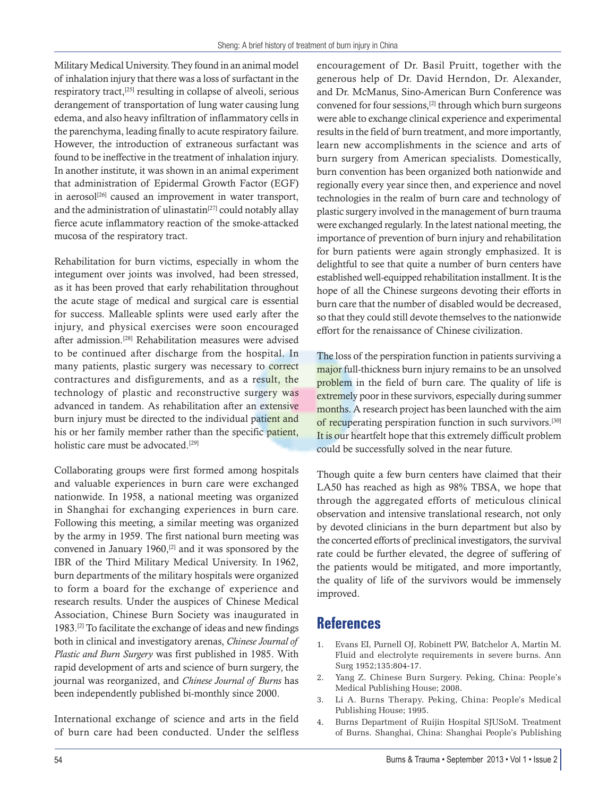Military Medical University. They found in an animal model of inhalation injury that there was a loss of surfactant in the respiratory tract,[25] resulting in collapse of alveoli, serious derangement of transportation of lung water causing lung edema, and also heavy infiltration of inflammatory cells in the parenchyma, leading finally to acute respiratory failure. However, the introduction of extraneous surfactant was found to be ineffective in the treatment of inhalation injury. In another institute, it was shown in an animal experiment that administration of Epidermal Growth Factor (EGF) in aerosol<sup>[26]</sup> caused an improvement in water transport, and the administration of ulinastatin<sup>[27]</sup> could notably allay fierce acute inflammatory reaction of the smoke-attacked mucosa of the respiratory tract.

Rehabilitation for burn victims, especially in whom the integument over joints was involved, had been stressed, as it has been proved that early rehabilitation throughout the acute stage of medical and surgical care is essential for success. Malleable splints were used early after the injury, and physical exercises were soon encouraged after admission.[28] Rehabilitation measures were advised to be continued after discharge from the hospital. In many patients, plastic surgery was necessary to correct contractures and disfigurements, and as a result, the technology of plastic and reconstructive surgery was advanced in tandem. As rehabilitation after an extensive burn injury must be directed to the individual patient and his or her family member rather than the specific patient, holistic care must be advocated.<sup>[29]</sup>

Collaborating groups were first formed among hospitals and valuable experiences in burn care were exchanged nationwide. In 1958, a national meeting was organized in Shanghai for exchanging experiences in burn care. Following this meeting, a similar meeting was organized by the army in 1959. The first national burn meeting was convened in January 1960, $[2]$  and it was sponsored by the IBR of the Third Military Medical University. In 1962, burn departments of the military hospitals were organized to form a board for the exchange of experience and research results. Under the auspices of Chinese Medical Association, Chinese Burn Society was inaugurated in 1983.[2] To facilitate the exchange of ideas and new findings both in clinical and investigatory arenas, *Chinese Journal of Plastic and Burn Surgery* was first published in 1985. With rapid development of arts and science of burn surgery, the journal was reorganized, and *Chinese Journal of Burns* has been independently published bi-monthly since 2000.

International exchange of science and arts in the field of burn care had been conducted. Under the selfless encouragement of Dr. Basil Pruitt, together with the generous help of Dr. David Herndon, Dr. Alexander, and Dr. McManus, Sino-American Burn Conference was convened for four sessions,[2] through which burn surgeons were able to exchange clinical experience and experimental results in the field of burn treatment, and more importantly, learn new accomplishments in the science and arts of burn surgery from American specialists. Domestically, burn convention has been organized both nationwide and regionally every year since then, and experience and novel technologies in the realm of burn care and technology of plastic surgery involved in the management of burn trauma were exchanged regularly. In the latest national meeting, the importance of prevention of burn injury and rehabilitation for burn patients were again strongly emphasized. It is delightful to see that quite a number of burn centers have established well-equipped rehabilitation installment. It is the hope of all the Chinese surgeons devoting their efforts in burn care that the number of disabled would be decreased, so that they could still devote themselves to the nationwide effort for the renaissance of Chinese civilization.

The loss of the perspiration function in patients surviving a major full-thickness burn injury remains to be an unsolved problem in the field of burn care. The quality of life is extremely poor in these survivors, especially during summer months. A research project has been launched with the aim of recuperating perspiration function in such survivors.<sup>[30]</sup> It is our heartfelt hope that this extremely difficult problem could be successfully solved in the near future.

Though quite a few burn centers have claimed that their LA50 has reached as high as 98% TBSA, we hope that through the aggregated efforts of meticulous clinical observation and intensive translational research, not only by devoted clinicians in the burn department but also by the concerted efforts of preclinical investigators, the survival rate could be further elevated, the degree of suffering of the patients would be mitigated, and more importantly, the quality of life of the survivors would be immensely improved.

### **References**

- 1. Evans EI, Purnell OJ, Robinett PW, Batchelor A, Martin M. Fluid and electrolyte requirements in severe burns. Ann Surg 1952;135:804-17.
- 2. Yang Z. Chinese Burn Surgery. Peking, China: People's Medical Publishing House; 2008.
- 3. Li A. Burns Therapy. Peking, China: People's Medical Publishing House; 1995.
- 4. Burns Department of Ruijin Hospital SJUSoM. Treatment of Burns. Shanghai, China: Shanghai People's Publishing